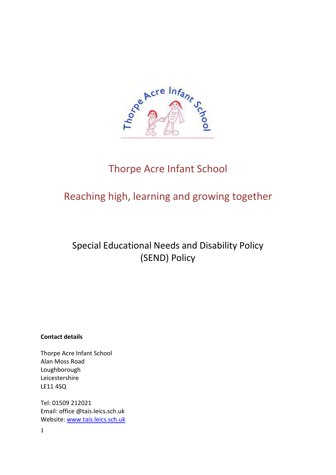

# Thorpe Acre Infant School

# Reaching high, learning and growing together

# Special Educational Needs and Disability Policy (SEND) Policy

## **Contact details**

Thorpe Acre Infant School Alan Moss Road Loughborough Leicestershire LE11 4SQ

Tel: 01509 212021 Email: office @tais.leics.sch.uk Website: [www.tais.leics.sch.uk](http://www.tais.leics.sch.uk/)

1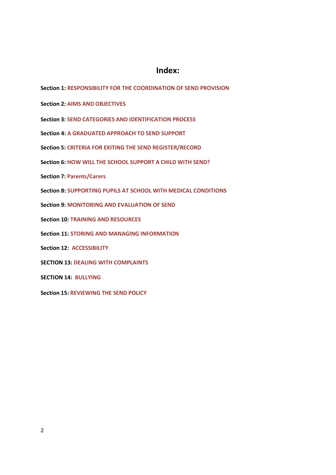## **Index:**

**Section 1: RESPONSIBILITY FOR THE COORDINATION OF SEND PROVISION**

**Section 2: AIMS AND OBJECTIVES**

**Section 3: SEND CATEGORIES AND IDENTIFICATION PROCESS**

**Section 4: A GRADUATED APPROACH TO SEND SUPPORT**

**Section 5: CRITERIA FOR EXITING THE SEND REGISTER/RECORD**

**Section 6: HOW WILL THE SCHOOL SUPPORT A CHILD WITH SEND?**

**Section 7: Parents/Carers**

**Section 8: SUPPORTING PUPILS AT SCHOOL WITH MEDICAL CONDITIONS**

**Section 9: MONITORING AND EVALUATION OF SEND**

**Section 10: TRAINING AND RESOURCES**

**Section 11: STORING AND MANAGING INFORMATION**

**Section 12: ACCESSIBILITY**

**SECTION 13: DEALING WITH COMPLAINTS**

**SECTION 14: BULLYING**

**Section 15: REVIEWING THE SEND POLICY**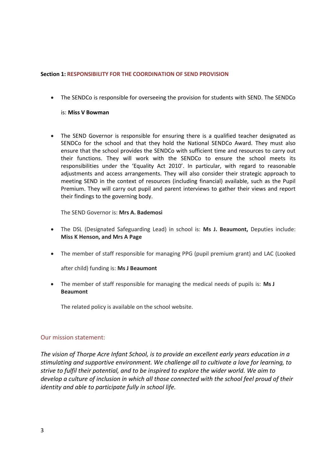#### **Section 1: RESPONSIBILITY FOR THE COORDINATION OF SEND PROVISION**

• The SENDCo is responsible for overseeing the provision for students with SEND. The SENDCo

#### is: **Miss V Bowman**

• The SEND Governor is responsible for ensuring there is a qualified teacher designated as SENDCo for the school and that they hold the National SENDCo Award. They must also ensure that the school provides the SENDCo with sufficient time and resources to carry out their functions. They will work with the SENDCo to ensure the school meets its responsibilities under the 'Equality Act 2010'. In particular, with regard to reasonable adjustments and access arrangements. They will also consider their strategic approach to meeting SEND in the context of resources (including financial) available, such as the Pupil Premium. They will carry out pupil and parent interviews to gather their views and report their findings to the governing body.

The SEND Governor is: **Mrs A. Bademosi**

- The DSL (Designated Safeguarding Lead) in school is: **Ms J. Beaumont,** Deputies include: **Miss K Henson, and Mrs A Page**
- The member of staff responsible for managing PPG (pupil premium grant) and LAC (Looked

after child) funding is: **Ms J Beaumont**

• The member of staff responsible for managing the medical needs of pupils is: **Ms J Beaumont**

The related policy is available on the school website.

#### Our mission statement:

*The vision of Thorpe Acre Infant School, is to provide an excellent early years education in a stimulating and supportive environment. We challenge all to cultivate a love for learning, to strive to fulfil their potential, and to be inspired to explore the wider world. We aim to develop a culture of inclusion in which all those connected with the school feel proud of their identity and able to participate fully in school life.*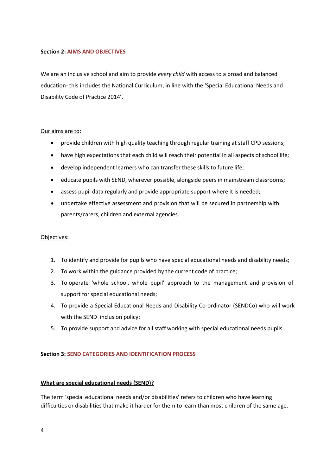#### **Section 2: AIMS AND OBJECTIVES**

We are an inclusive school and aim to provide *every child* with access to a broad and balanced education- this includes the National Curriculum, in line with the 'Special Educational Needs and Disability Code of Practice 2014'.

#### Our aims are to:

- provide children with high quality teaching through regular training at staff CPD sessions;
- have high expectations that each child will reach their potential in all aspects of school life;
- develop independent learners who can transfer these skills to future life;
- educate pupils with SEND, wherever possible, alongside peers in mainstream classrooms;
- assess pupil data regularly and provide appropriate support where it is needed;
- undertake effective assessment and provision that will be secured in partnership with parents/carers, children and external agencies.

#### Objectives:

- 1. To identify and provide for pupils who have special educational needs and disability needs;
- 2. To work within the guidance provided by the current code of practice;
- 3. To operate 'whole school, whole pupil' approach to the management and provision of support for special educational needs;
- 4. To provide a Special Educational Needs and Disability Co-ordinator (SENDCo) who will work with the SEND inclusion policy;
- 5. To provide support and advice for all staff working with special educational needs pupils.

#### **Section 3: SEND CATEGORIES AND IDENTIFICATION PROCESS**

#### **What are special educational needs (SEND)?**

The term 'special educational needs and/or disabilities' refers to children who have learning difficulties or disabilities that make it harder for them to learn than most children of the same age.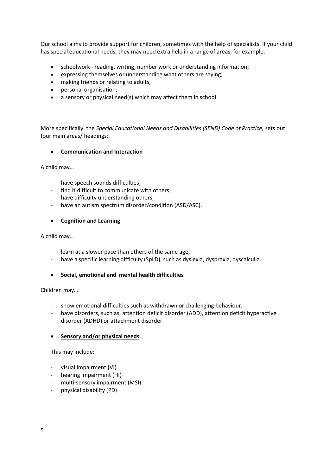Our school aims to provide support for children, sometimes with the help of specialists. If your child has special educational needs, they may need extra help in a range of areas, for example:

- schoolwork reading, writing, number work or understanding information;
- expressing themselves or understanding what others are saying;
- making friends or relating to adults;
- personal organisation;
- a sensory or physical need(s) which may affect them in school.

More specifically, the *Special Educational Needs and Disabilities (SEND) Code of Practice,* sets out four main areas/ headings:

#### • **Communication and Interaction**

A child may…

- have speech sounds difficulties;
- find it difficult to communicate with others;
- have difficulty understanding others;
- have an autism spectrum disorder/condition (ASD/ASC).

#### • **Cognition and Learning**

A child may…

- learn at a slower pace than others of the same age;
- have a specific learning difficulty (SpLD), such as dyslexia, dyspraxia, dyscalculia.
- **Social, emotional and mental health difficulties**

Children may…

- show emotional difficulties such as withdrawn or challenging behaviour;
- have disorders, such as, attention deficit disorder (ADD), attention deficit hyperactive disorder (ADHD) or attachment disorder.

#### • **Sensory and/or physical needs**

This may include:

- visual impairment (VI)
- hearing impairment (HI)
- multi-sensory impairment (MSI)
- physical disability (PD)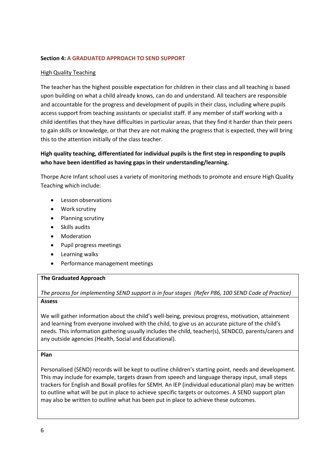## **Section 4: A GRADUATED APPROACH TO SEND SUPPORT**

## High Quality Teaching

The teacher has the highest possible expectation for children in their class and all teaching is based upon building on what a child already knows, can do and understand. All teachers are responsible and accountable for the progress and development of pupils in their class, including where pupils access support from teaching assistants or specialist staff. If any member of staff working with a child identifies that they have difficulties in particular areas, that they find it harder than their peers to gain skills or knowledge, or that they are not making the progress that is expected, they will bring this to the attention initially of the class teacher.

## **High quality teaching, differentiated for individual pupils is the first step in responding to pupils who have been identified as having gaps in their understanding/learning.**

Thorpe Acre Infant school uses a variety of monitoring methods to promote and ensure High Quality Teaching which include:

- Lesson observations
- Work scrutiny
- Planning scrutiny
- Skills audits
- Moderation
- Pupil progress meetings
- Learning walks
- Performance management meetings

#### **The Graduated Approach**

#### *The process for implementing SEND support is in four stages (Refer P86, 100 SEND Code of Practice)* **Assess**

We will gather information about the child's well-being, previous progress, motivation, attainment and learning from everyone involved with the child, to give us an accurate picture of the child's needs. This information gathering usually includes the child, teacher(s), SENDCO, parents/carers and any outside agencies (Health, Social and Educational).

#### **Plan**

Personalised (SEND) records will be kept to outline children's starting point, needs and development. This may include for example, targets drawn from speech and language therapy input, small steps trackers for English and Boxall profiles for SEMH. An IEP (individual educational plan) may be written to outline what will be put in place to achieve specific targets or outcomes. A SEND support plan may also be written to outline what has been put in place to achieve these outcomes.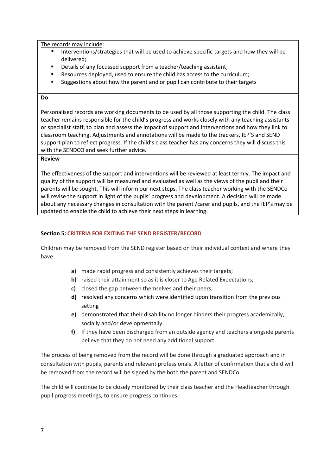The records may include:

- **■** Interventions/strategies that will be used to achieve specific targets and how they will be delivered;
- Details of any focussed support from a teacher/teaching assistant;
- Resources deployed, used to ensure the child has access to the curriculum;
- Suggestions about how the parent and or pupil can contribute to their targets

#### **Do**

Personalised records are working documents to be used by all those supporting the child. The class teacher remains responsible for the child's progress and works closely with any teaching assistants or specialist staff, to plan and assess the impact of support and interventions and how they link to classroom teaching. Adjustments and annotations will be made to the trackers, IEP'S and SEND support plan to reflect progress. If the child's class teacher has any concerns they will discuss this with the SENDCO and seek further advice.

## **Review**

The effectiveness of the support and interventions will be reviewed at least termly. The impact and quality of the support will be measured and evaluated as well as the views of the pupil and their parents will be sought. This will inform our next steps. The class teacher working with the SENDCo will revise the support in light of the pupils' progress and development. A decision will be made about any necessary changes in consultation with the parent /carer and pupils, and the IEP's may be updated to enable the child to achieve their next steps in learning.

#### **Section 5: CRITERIA FOR EXITING THE SEND REGISTER/RECORD**

Children may be removed from the SEND register based on their individual context and where they have:

- **a)** made rapid progress and consistently achieves their targets;
- **b)** raised their attainment so as it is closer to Age Related Expectations;
- **c)** closed the gap between themselves and their peers;
- **d)** resolved any concerns which were identified upon transition from the previous setting
- **e)** demonstrated that their disability no longer hinders their progress academically, socially and/or developmentally.
- **f)** If they have been discharged from an outside agency and teachers alongside parents believe that they do not need any additional support.

The process of being removed from the record will be done through a graduated approach and in consultation with pupils, parents and relevant professionals. A letter of confirmation that a child will be removed from the record will be signed by the both the parent and SENDCo.

The child will continue to be closely monitored by their class teacher and the Headteacher through pupil progress meetings, to ensure progress continues.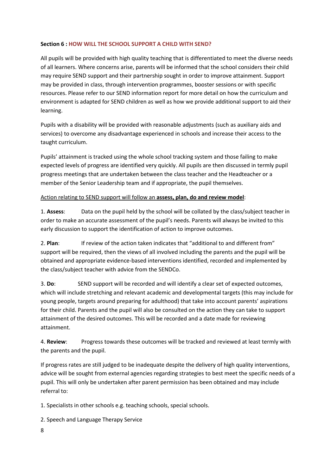## **Section 6 : HOW WILL THE SCHOOL SUPPORT A CHILD WITH SEND?**

All pupils will be provided with high quality teaching that is differentiated to meet the diverse needs of all learners. Where concerns arise, parents will be informed that the school considers their child may require SEND support and their partnership sought in order to improve attainment. Support may be provided in class, through intervention programmes, booster sessions or with specific resources. Please refer to our SEND information report for more detail on how the curriculum and environment is adapted for SEND children as well as how we provide additional support to aid their learning.

Pupils with a disability will be provided with reasonable adjustments (such as auxiliary aids and services) to overcome any disadvantage experienced in schools and increase their access to the taught curriculum.

Pupils' attainment is tracked using the whole school tracking system and those failing to make expected levels of progress are identified very quickly. All pupils are then discussed in termly pupil progress meetings that are undertaken between the class teacher and the Headteacher or a member of the Senior Leadership team and if appropriate, the pupil themselves.

## Action relating to SEND support will follow an **assess, plan, do and review model**:

1. **Assess**: Data on the pupil held by the school will be collated by the class/subject teacher in order to make an accurate assessment of the pupil's needs. Parents will always be invited to this early discussion to support the identification of action to improve outcomes.

2. **Plan**: If review of the action taken indicates that "additional to and different from" support will be required, then the views of all involved including the parents and the pupil will be obtained and appropriate evidence-based interventions identified, recorded and implemented by the class/subject teacher with advice from the SENDCo.

3. **Do**: SEND support will be recorded and will identify a clear set of expected outcomes, which will include stretching and relevant academic and developmental targets (this may include for young people, targets around preparing for adulthood) that take into account parents' aspirations for their child. Parents and the pupil will also be consulted on the action they can take to support attainment of the desired outcomes. This will be recorded and a date made for reviewing attainment.

4. **Review**: Progress towards these outcomes will be tracked and reviewed at least termly with the parents and the pupil.

If progress rates are still judged to be inadequate despite the delivery of high quality interventions, advice will be sought from external agencies regarding strategies to best meet the specific needs of a pupil. This will only be undertaken after parent permission has been obtained and may include referral to:

1. Specialists in other schools e.g. teaching schools, special schools.

2. Speech and Language Therapy Service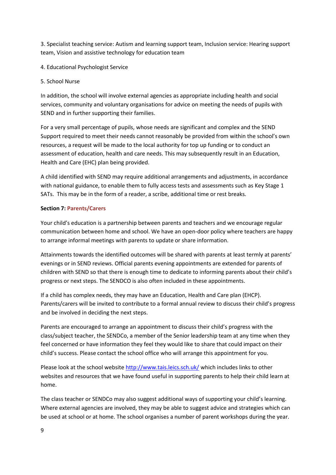3. Specialist teaching service: Autism and learning support team, Inclusion service: Hearing support team, Vision and assistive technology for education team

4. Educational Psychologist Service

5. School Nurse

In addition, the school will involve external agencies as appropriate including health and social services, community and voluntary organisations for advice on meeting the needs of pupils with SEND and in further supporting their families.

For a very small percentage of pupils, whose needs are significant and complex and the SEND Support required to meet their needs cannot reasonably be provided from within the school's own resources, a request will be made to the local authority for top up funding or to conduct an assessment of education, health and care needs. This may subsequently result in an Education, Health and Care (EHC) plan being provided.

A child identified with SEND may require additional arrangements and adjustments, in accordance with national guidance, to enable them to fully access tests and assessments such as Key Stage 1 SATs. This may be in the form of a reader, a scribe, additional time or rest breaks.

## **Section 7: Parents/Carers**

Your child's education is a partnership between parents and teachers and we encourage regular communication between home and school. We have an open-door policy where teachers are happy to arrange informal meetings with parents to update or share information.

Attainments towards the identified outcomes will be shared with parents at least termly at parents' evenings or in SEND reviews. Official parents evening appointments are extended for parents of children with SEND so that there is enough time to dedicate to informing parents about their child's progress or next steps. The SENDCO is also often included in these appointments.

If a child has complex needs, they may have an Education, Health and Care plan (EHCP). Parents/carers will be invited to contribute to a formal annual review to discuss their child's progress and be involved in deciding the next steps.

Parents are encouraged to arrange an appointment to discuss their child's progress with the class/subject teacher, the SENDCo, a member of the Senior leadership team at any time when they feel concerned or have information they feel they would like to share that could impact on their child's success. Please contact the school office who will arrange this appointment for you.

Please look at the school websit[e http://www.tais.leics.sch.uk/](http://www.tais.leics.sch.uk/) which includes links to other websites and resources that we have found useful in supporting parents to help their child learn at home.

The class teacher or SENDCo may also suggest additional ways of supporting your child's learning. Where external agencies are involved, they may be able to suggest advice and strategies which can be used at school or at home. The school organises a number of parent workshops during the year.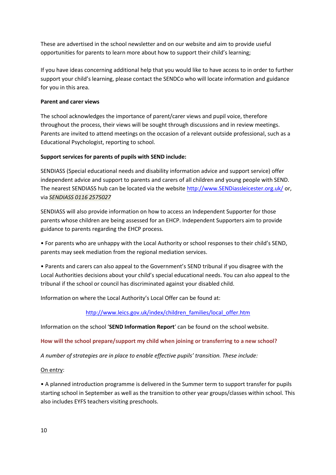These are advertised in the school newsletter and on our website and aim to provide useful opportunities for parents to learn more about how to support their child's learning;

If you have ideas concerning additional help that you would like to have access to in order to further support your child's learning, please contact the SENDCo who will locate information and guidance for you in this area.

## **Parent and carer views**

The school acknowledges the importance of parent/carer views and pupil voice, therefore throughout the process, their views will be sought through discussions and in review meetings. Parents are invited to attend meetings on the occasion of a relevant outside professional, such as a Educational Psychologist, reporting to school.

## **Support services for parents of pupils with SEND include:**

SENDIASS (Special educational needs and disability information advice and support service) offer independent advice and support to parents and carers of all children and young people with SEND. The nearest SENDIASS hub can be located via the website [http://www.SENDiassleicester.org.uk/](http://www.sendiassleicester.org.uk/) or, via *SENDIASS 0116 2575027*

SENDIASS will also provide information on how to access an Independent Supporter for those parents whose children are being assessed for an EHCP. Independent Supporters aim to provide guidance to parents regarding the EHCP process.

• For parents who are unhappy with the Local Authority or school responses to their child's SEND, parents may seek mediation from the regional mediation services.

• Parents and carers can also appeal to the Government's SEND tribunal if you disagree with the Local Authorities decisions about your child's special educational needs. You can also appeal to the tribunal if the school or council has discriminated against your disabled child.

Information on where the Local Authority's Local Offer can be found at:

## [http://www.leics.gov.uk/index/children\\_families/local\\_offer.htm](http://www.leics.gov.uk/index/children_families/local_offer.htm)

Information on the school '**SEND Information Report**' can be found on the school website.

## **How will the school prepare/support my child when joining or transferring to a new school?**

*A number of strategies are in place to enable effective pupils' transition. These include:*

## On entry:

• A planned introduction programme is delivered in the Summer term to support transfer for pupils starting school in September as well as the transition to other year groups/classes within school. This also includes EYFS teachers visiting preschools.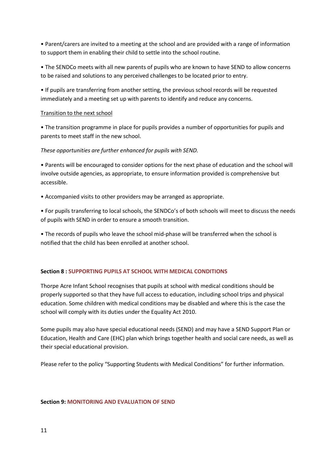• Parent/carers are invited to a meeting at the school and are provided with a range of information to support them in enabling their child to settle into the school routine.

• The SENDCo meets with all new parents of pupils who are known to have SEND to allow concerns to be raised and solutions to any perceived challenges to be located prior to entry.

• If pupils are transferring from another setting, the previous school records will be requested immediately and a meeting set up with parents to identify and reduce any concerns.

## Transition to the next school

• The transition programme in place for pupils provides a number of opportunities for pupils and parents to meet staff in the new school.

*These opportunities are further enhanced for pupils with SEND.*

• Parents will be encouraged to consider options for the next phase of education and the school will involve outside agencies, as appropriate, to ensure information provided is comprehensive but accessible.

• Accompanied visits to other providers may be arranged as appropriate.

• For pupils transferring to local schools, the SENDCo's of both schools will meet to discuss the needs of pupils with SEND in order to ensure a smooth transition.

• The records of pupils who leave the school mid-phase will be transferred when the school is notified that the child has been enrolled at another school.

## **Section 8 : SUPPORTING PUPILS AT SCHOOL WITH MEDICAL CONDITIONS**

Thorpe Acre Infant School recognises that pupils at school with medical conditions should be properly supported so that they have full access to education, including school trips and physical education. Some children with medical conditions may be disabled and where this is the case the school will comply with its duties under the Equality Act 2010.

Some pupils may also have special educational needs (SEND) and may have a SEND Support Plan or Education, Health and Care (EHC) plan which brings together health and social care needs, as well as their special educational provision.

Please refer to the policy "Supporting Students with Medical Conditions" for further information.

#### **Section 9: MONITORING AND EVALUATION OF SEND**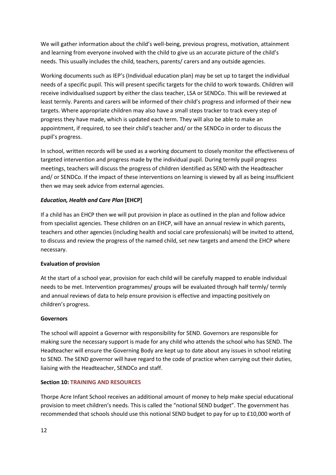We will gather information about the child's well-being, previous progress, motivation, attainment and learning from everyone involved with the child to give us an accurate picture of the child's needs. This usually includes the child, teachers, parents/ carers and any outside agencies.

Working documents such as IEP's (Individual education plan) may be set up to target the individual needs of a specific pupil. This will present specific targets for the child to work towards. Children will receive individualised support by either the class teacher, LSA or SENDCo. This will be reviewed at least termly. Parents and carers will be informed of their child's progress and informed of their new targets. Where appropriate children may also have a small steps tracker to track every step of progress they have made, which is updated each term. They will also be able to make an appointment, if required, to see their child's teacher and/ or the SENDCo in order to discuss the pupil's progress.

In school, written records will be used as a working document to closely monitor the effectiveness of targeted intervention and progress made by the individual pupil. During termly pupil progress meetings, teachers will discuss the progress of children identified as SEND with the Headteacher and/ or SENDCo. If the impact of these interventions on learning is viewed by all as being insufficient then we may seek advice from external agencies.

## *Education, Health and Care Plan* **[EHCP]**

If a child has an EHCP then we will put provision in place as outlined in the plan and follow advice from specialist agencies. These children on an EHCP, will have an annual review in which parents, teachers and other agencies (including health and social care professionals) will be invited to attend, to discuss and review the progress of the named child, set new targets and amend the EHCP where necessary.

#### **Evaluation of provision**

At the start of a school year, provision for each child will be carefully mapped to enable individual needs to be met. Intervention programmes/ groups will be evaluated through half termly/ termly and annual reviews of data to help ensure provision is effective and impacting positively on children's progress.

#### **Governors**

The school will appoint a Governor with responsibility for SEND. Governors are responsible for making sure the necessary support is made for any child who attends the school who has SEND. The Headteacher will ensure the Governing Body are kept up to date about any issues in school relating to SEND. The SEND governor will have regard to the code of practice when carrying out their duties, liaising with the Headteacher, SENDCo and staff.

## **Section 10: TRAINING AND RESOURCES**

Thorpe Acre Infant School receives an additional amount of money to help make special educational provision to meet children's needs. This is called the "notional SEND budget". The government has recommended that schools should use this notional SEND budget to pay for up to £10,000 worth of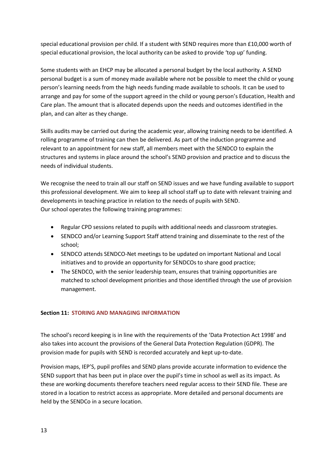special educational provision per child. If a student with SEND requires more than £10,000 worth of special educational provision, the local authority can be asked to provide 'top up' funding.

Some students with an EHCP may be allocated a personal budget by the local authority. A SEND personal budget is a sum of money made available where not be possible to meet the child or young person's learning needs from the high needs funding made available to schools. It can be used to arrange and pay for some of the support agreed in the child or young person's Education, Health and Care plan. The amount that is allocated depends upon the needs and outcomes identified in the plan, and can alter as they change.

Skills audits may be carried out during the academic year, allowing training needs to be identified. A rolling programme of training can then be delivered. As part of the induction programme and relevant to an appointment for new staff, all members meet with the SENDCO to explain the structures and systems in place around the school's SEND provision and practice and to discuss the needs of individual students.

We recognise the need to train all our staff on SEND issues and we have funding available to support this professional development. We aim to keep all school staff up to date with relevant training and developments in teaching practice in relation to the needs of pupils with SEND. Our school operates the following training programmes:

- Regular CPD sessions related to pupils with additional needs and classroom strategies.
- SENDCO and/or Learning Support Staff attend training and disseminate to the rest of the school;
- SENDCO attends SENDCO-Net meetings to be updated on important National and Local initiatives and to provide an opportunity for SENDCOs to share good practice;
- The SENDCO, with the senior leadership team, ensures that training opportunities are matched to school development priorities and those identified through the use of provision management.

## **Section 11: STORING AND MANAGING INFORMATION**

The school's record keeping is in line with the requirements of the 'Data Protection Act 1998' and also takes into account the provisions of the General Data Protection Regulation (GDPR). The provision made for pupils with SEND is recorded accurately and kept up-to-date.

Provision maps, IEP'S, pupil profiles and SEND plans provide accurate information to evidence the SEND support that has been put in place over the pupil's time in school as well as its impact. As these are working documents therefore teachers need regular access to their SEND file. These are stored in a location to restrict access as appropriate. More detailed and personal documents are held by the SENDCo in a secure location.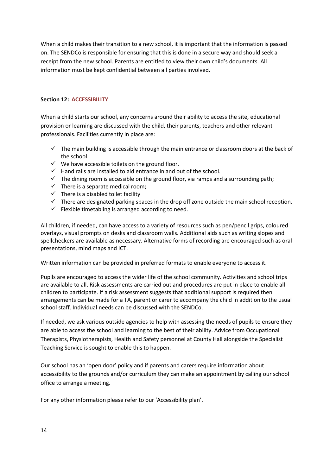When a child makes their transition to a new school, it is important that the information is passed on. The SENDCo is responsible for ensuring that this is done in a secure way and should seek a receipt from the new school. Parents are entitled to view their own child's documents. All information must be kept confidential between all parties involved.

## **Section 12: ACCESSIBILITY**

When a child starts our school, any concerns around their ability to access the site, educational provision or learning are discussed with the child, their parents, teachers and other relevant professionals. Facilities currently in place are:

- $\checkmark$  The main building is accessible through the main entrance or classroom doors at the back of the school.
- $\checkmark$  We have accessible toilets on the ground floor.
- ✓ Hand rails are installed to aid entrance in and out of the school.
- $\checkmark$  The dining room is accessible on the ground floor, via ramps and a surrounding path;
- $\checkmark$  There is a separate medical room;
- $\checkmark$  There is a disabled toilet facility
- $\checkmark$  There are designated parking spaces in the drop off zone outside the main school reception.
- $\checkmark$  Flexible timetabling is arranged according to need.

All children, if needed, can have access to a variety of resources such as pen/pencil grips, coloured overlays, visual prompts on desks and classroom walls. Additional aids such as writing slopes and spellcheckers are available as necessary. Alternative forms of recording are encouraged such as oral presentations, mind maps and ICT.

Written information can be provided in preferred formats to enable everyone to access it.

Pupils are encouraged to access the wider life of the school community. Activities and school trips are available to all. Risk assessments are carried out and procedures are put in place to enable all children to participate. If a risk assessment suggests that additional support is required then arrangements can be made for a TA, parent or carer to accompany the child in addition to the usual school staff. Individual needs can be discussed with the SENDCo.

If needed, we ask various outside agencies to help with assessing the needs of pupils to ensure they are able to access the school and learning to the best of their ability. Advice from Occupational Therapists, Physiotherapists, Health and Safety personnel at County Hall alongside the Specialist Teaching Service is sought to enable this to happen.

Our school has an 'open door' policy and if parents and carers require information about accessibility to the grounds and/or curriculum they can make an appointment by calling our school office to arrange a meeting.

For any other information please refer to our 'Accessibility plan'.